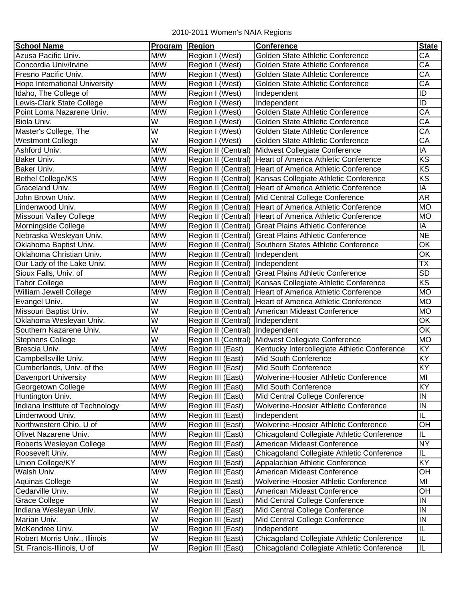## 2010-2011 Women's NAIA Regions

| <b>School Name</b>              | Program                 | <b>Region</b>                   | <b>Conference</b>                                           | <b>State</b>             |
|---------------------------------|-------------------------|---------------------------------|-------------------------------------------------------------|--------------------------|
| Azusa Pacific Univ.             | M/W                     | Region I (West)                 | Golden State Athletic Conference                            | СA                       |
| Concordia Univ/Irvine           | M/W                     | Region I (West)                 | Golden State Athletic Conference                            | CA                       |
| Fresno Pacific Univ.            | M/W                     | Region I (West)                 | Golden State Athletic Conference                            | CA                       |
| Hope International University   | M/W                     | Region I (West)                 | Golden State Athletic Conference                            | $\overline{CA}$          |
| Idaho, The College of           | M/W                     | Region I (West)                 | Independent                                                 | ID                       |
| Lewis-Clark State College       | M/W                     | Region I (West)                 | Independent                                                 | ID                       |
| Point Loma Nazarene Univ.       | M/W                     | Region I (West)                 | Golden State Athletic Conference                            | $\overline{CA}$          |
| Biola Univ.                     | $\overline{\mathsf{W}}$ | Region I (West)                 | Golden State Athletic Conference                            | $\overline{\mathsf{CA}}$ |
| Master's College, The           | $\overline{\mathsf{W}}$ | Region I (West)                 | Golden State Athletic Conference                            | $\overline{\mathsf{CA}}$ |
| <b>Westmont College</b>         | $\overline{W}$          | Region I (West)                 | Golden State Athletic Conference                            | $\overline{\mathsf{CA}}$ |
| Ashford Univ.                   | M/W                     | Region II (Central)             | Midwest Collegiate Conference                               | IA                       |
| Baker Univ.                     | M/W                     |                                 | Region II (Central) Heart of America Athletic Conference    | $\overline{\text{KS}}$   |
| Baker Univ.                     | M/W                     |                                 | Region II (Central) Heart of America Athletic Conference    | KS                       |
| <b>Bethel College/KS</b>        | M/W                     |                                 | Region II (Central)   Kansas Collegiate Athletic Conference | $\overline{\text{KS}}$   |
| Graceland Univ.                 | M/W                     |                                 | Region II (Central) Heart of America Athletic Conference    | ΙA                       |
| John Brown Univ.                | M/W                     |                                 | Region II (Central) Mid Central College Conference          | AR                       |
| Lindenwood Univ.                | M/W                     |                                 | Region II (Central) Heart of America Athletic Conference    | <b>MO</b>                |
| Missouri Valley College         | M/W                     |                                 | Region II (Central) Heart of America Athletic Conference    | <b>MO</b>                |
| Morningside College             | M/W                     |                                 | Region II (Central) Great Plains Athletic Conference        | IA                       |
| Nebraska Wesleyan Univ.         | M/W                     |                                 | Region II (Central) Great Plains Athletic Conference        | <b>NE</b>                |
| Oklahoma Baptist Univ.          | M/W                     |                                 | Region II (Central) Southern States Athletic Conference     | OK                       |
| Oklahoma Christian Univ.        | M/W                     | Region II (Central) Independent |                                                             | OK                       |
| Our Lady of the Lake Univ.      | M/W                     | Region II (Central) Independent |                                                             | $\overline{\mathsf{TX}}$ |
| Sioux Falls, Univ. of           | M/W                     |                                 | Region II (Central) Great Plains Athletic Conference        | <b>SD</b>                |
| <b>Tabor College</b>            | M/W                     |                                 | Region II (Central)   Kansas Collegiate Athletic Conference | $\overline{\text{KS}}$   |
| William Jewell College          | M/W                     |                                 | Region II (Central) Heart of America Athletic Conference    | <b>MO</b>                |
| Evangel Univ.                   | W                       |                                 | Region II (Central) Heart of America Athletic Conference    | <b>MO</b>                |
| Missouri Baptist Univ.          | $\overline{\mathsf{W}}$ |                                 | Region II (Central) American Mideast Conference             | <b>MO</b>                |
| Oklahoma Wesleyan Univ.         | $\overline{W}$          | Region II (Central) Independent |                                                             | OK                       |
| Southern Nazarene Univ.         | $\overline{\mathsf{W}}$ | Region II (Central)             | Independent                                                 | OK                       |
| <b>Stephens College</b>         | W                       | Region II (Central)             | Midwest Collegiate Conference                               | <b>MO</b>                |
| Brescia Univ.                   | M/W                     | Region III (East)               | Kentucky Intercollegiate Athletic Conference                | KY                       |
| Campbellsville Univ.            | M/W                     | Region III (East)               | Mid South Conference                                        | KY                       |
| Cumberlands, Univ. of the       | M/W                     | Region III (East)               | Mid South Conference                                        | KY                       |
| <b>Davenport University</b>     | M/W                     | Region III (East)               | Wolverine-Hoosier Athletic Conference                       | MI                       |
| Georgetown College              | M/W                     | Region III (East)               | Mid South Conference                                        | KY                       |
| Huntington Univ.                | M/W                     | Region III (East)               | Mid Central College Conference                              | IN                       |
| Indiana Institute of Technology | M/W                     | Region III (East)               | Wolverine-Hoosier Athletic Conference                       | IN                       |
| Lindenwood Univ.                | M/W                     | Region III (East)               | Independent                                                 | IL                       |
| Northwestern Ohio, U of         | M/W                     | Region III (East)               | <b>Wolverine-Hoosier Athletic Conference</b>                | OН                       |
| Olivet Nazarene Univ.           | M/W                     | Region III (East)               | Chicagoland Collegiate Athletic Conference                  | IL                       |
| Roberts Wesleyan College        | M/W                     | Region III (East)               | American Mideast Conference                                 | <b>NY</b>                |
| Roosevelt Univ.                 | M/W                     | Region III (East)               | Chicagoland Collegiate Athletic Conference                  | IL                       |
| Union College/KY                | M/W                     | Region III (East)               | Appalachian Athletic Conference                             | KY                       |
| Walsh Univ.                     | M/W                     | Region III (East)               | American Mideast Conference                                 | OН                       |
| Aquinas College                 | W                       | Region III (East)               | Wolverine-Hoosier Athletic Conference                       | MI                       |
| Cedarville Univ.                | $\overline{\mathsf{W}}$ | Region III (East)               | American Mideast Conference                                 | OH                       |
| <b>Grace College</b>            | $\overline{W}$          | Region III (East)               | Mid Central College Conference                              | IN                       |
| Indiana Wesleyan Univ.          | W                       | Region III (East)               | Mid Central College Conference                              | IN                       |
| Marian Univ.                    | W                       | Region III (East)               | Mid Central College Conference                              | IN                       |
| McKendree Univ.                 | $\overline{\mathsf{W}}$ | Region III (East)               | Independent                                                 | IL                       |
| Robert Morris Univ., Illinois   | W                       | Region III (East)               | Chicagoland Collegiate Athletic Conference                  | IL                       |
| St. Francis-Illinois, U of      | W                       | Region III (East)               | Chicagoland Collegiate Athletic Conference                  | $\sf IL$                 |